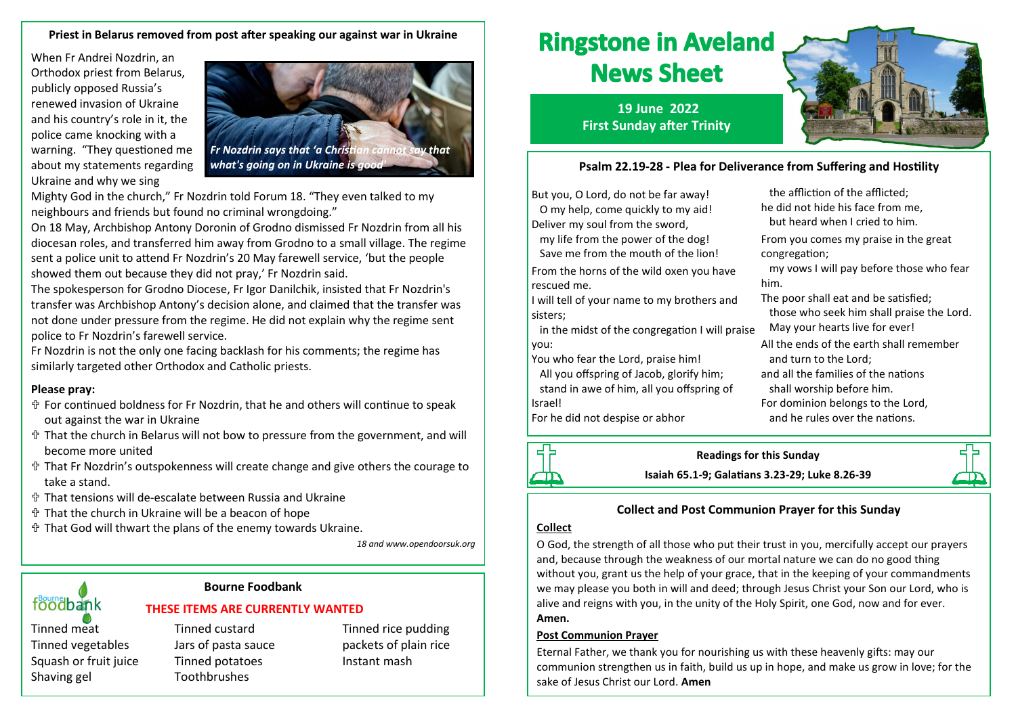#### **Priest in Belarus removed from post after speaking our against war in Ukraine**

When Fr Andrei Nozdrin, an Orthodox priest from Belarus, publicly opposed Russia's renewed invasion of Ukraine and his country's role in it, the police came knocking with a warning. "They questioned me about my statements regarding Ukraine and why we sing



Mighty God in the church," Fr Nozdrin told Forum 18. "They even talked to my neighbours and friends but found no criminal wrongdoing."

On 18 May, Archbishop Antony Doronin of Grodno dismissed Fr Nozdrin from all his diocesan roles, and transferred him away from Grodno to a small village. The regime sent a police unit to attend Fr Nozdrin's 20 May farewell service, 'but the people showed them out because they did not pray,' Fr Nozdrin said.

The spokesperson for Grodno Diocese, Fr Igor Danilchik, insisted that Fr Nozdrin's transfer was Archbishop Antony's decision alone, and claimed that the transfer was not done under pressure from the regime. He did not explain why the regime sent police to Fr Nozdrin's farewell service.

Fr Nozdrin is not the only one facing backlash for his comments; the regime has similarly targeted other Orthodox and Catholic priests.

#### **Please pray:**

- For continued boldness for Fr Nozdrin, that he and others will continue to speak out against the war in Ukraine
- That the church in Belarus will not bow to pressure from the government, and will become more united
- That Fr Nozdrin's outspokenness will create change and give others the courage to take a stand.
- That tensions will de-escalate between Russia and Ukraine
- That the church in Ukraine will be a beacon of hope
- That God will thwart the plans of the enemy towards Ukraine.

*18 and www.opendoorsuk.org*

# foodbank

#### **Bourne Foodbank**

#### **THESE ITEMS ARE CURRENTLY WANTED**

Tinned vegetables Jars of pasta sauce packets of plain rice Squash or fruit juice Tinned potatoes Instant mash Shaving gel Toothbrushes

Tinned meat Tinned custard Tinned Tinned rice pudding

# **Ringstone in Aveland News Sheet**

**19 June 2022 First Sunday after Trinity**

# **Psalm 22.19-28 - Plea for Deliverance from Suffering and Hostility**

But you, O Lord, do not be far away!

 O my help, come quickly to my aid! Deliver my soul from the sword,

 my life from the power of the dog! Save me from the mouth of the lion!

From the horns of the wild oxen you have rescued me.

I will tell of your name to my brothers and sisters;

 in the midst of the congregation I will praise you:

You who fear the Lord, praise him!

 All you offspring of Jacob, glorify him; stand in awe of him, all you offspring of Israel!

For he did not despise or abhor

 the affliction of the afflicted; he did not hide his face from me,

but heard when I cried to him.

From you comes my praise in the great congregation;

 my vows I will pay before those who fear him.

- The poor shall eat and be satisfied; those who seek him shall praise the Lord.
- May your hearts live for ever!
- All the ends of the earth shall remember and turn to the Lord;
- and all the families of the nations
- shall worship before him.
- For dominion belongs to the Lord, and he rules over the nations.

**Readings for this Sunday**

**Isaiah 65.1-9; Galatians 3.23-29; Luke 8.26-39**



# **Collect and Post Communion Prayer for this Sunday**

# **Collect**

תרב

O God, the strength of all those who put their trust in you, mercifully accept our prayers and, because through the weakness of our mortal nature we can do no good thing without you, grant us the help of your grace, that in the keeping of your commandments we may please you both in will and deed; through Jesus Christ your Son our Lord, who is alive and reigns with you, in the unity of the Holy Spirit, one God, now and for ever. **Amen.**

#### **Post Communion Prayer**

Eternal Father, we thank you for nourishing us with these heavenly gifts: may our communion strengthen us in faith, build us up in hope, and make us grow in love; for the sake of Jesus Christ our Lord. **Amen**